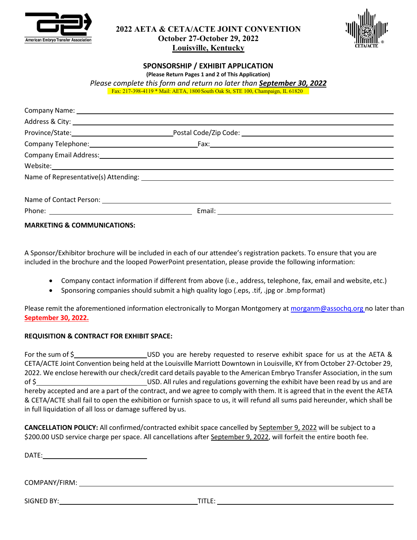



# **SPONSORSHIP / EXHIBIT APPLICATION**

**(Please Return Pages 1 and 2 of This Application)** *Please complete this form and return no later than September 30, 2022*

Fax: 217-398-4119 \* Mail: AETA, 1800 South Oak St, STE 100, Champaign, IL 61820

**MARKETING & COMMUNICATIONS:**

A Sponsor/Exhibitor brochure will be included in each of our attendee's registration packets. To ensure that you are included in the brochure and the looped PowerPoint presentation, please provide the following information:

- Company contact information if different from above (i.e., address, telephone, fax, email and website, etc.)
- Sponsoring companies should submit a high quality logo (.eps, .tif, .jpg or .bmp format)

Please remit the aforementioned information electronically to Morgan Montgomery at [morganm@assochq.org n](mailto:morganm@assochq.org)o later than **September 30, 2022.**

#### **REQUISITION & CONTRACT FOR EXHIBIT SPACE:**

For the sum of \$ USD you are hereby requested to reserve exhibit space for us at the AETA & CETA/ACTE Joint Convention being held at the Louisville Marriott Downtown in Louisville, KY from October 27-October 29, 2022. We enclose herewith our check/credit card details payable to the American Embryo Transfer Association, in the sum of \$ USD. All rules and regulations governing the exhibit have been read by us and are hereby accepted and are a part of the contract, and we agree to comply with them. It is agreed that in the event the AETA & CETA/ACTE shall fail to open the exhibition or furnish space to us, it will refund all sums paid hereunder, which shall be in full liquidation of all loss or damage suffered by us.

**CANCELLATION POLICY:** All confirmed/contracted exhibit space cancelled by September 9, 2022 will be subject to a \$200.00 USD service charge per space. All cancellations after September 9, 2022, will forfeit the entire booth fee.

DATE:

COMPANY/FIRM:

SIGNED BY: TITLE: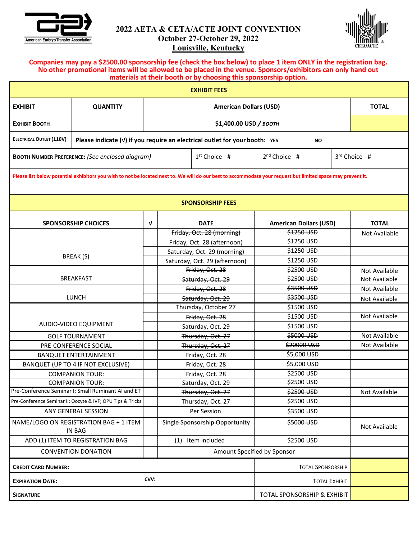



#### **Companies may pay a \$2500.00 sponsorship fee (check the box below) to place 1 item ONLY in the registration bag. No other promotional items will be allowed to be placed in the venue. Sponsors/exhibitors can only hand out materials at their booth or by choosing this sponsorship option.**

| <b>EXHIBIT FEES</b>                                                                                                                                          |                                                                                                |                               |                                    |                               |                                      |  |               |  |
|--------------------------------------------------------------------------------------------------------------------------------------------------------------|------------------------------------------------------------------------------------------------|-------------------------------|------------------------------------|-------------------------------|--------------------------------------|--|---------------|--|
| <b>EXHIBIT</b>                                                                                                                                               | <b>QUANTITY</b>                                                                                | <b>American Dollars (USD)</b> |                                    |                               |                                      |  | <b>TOTAL</b>  |  |
| Ехнівіт Воотн                                                                                                                                                |                                                                                                | \$1,400.00 USD / BOOTH        |                                    |                               |                                      |  |               |  |
| <b>ELECTRICAL OUTLET (110V)</b>                                                                                                                              | Please indicate (v) if you require an electrical outlet for your booth: YES<br>NO <sub>2</sub> |                               |                                    |                               |                                      |  |               |  |
|                                                                                                                                                              | $1st$ Choice - #<br><b>BOOTH NUMBER PREFERENCE:</b> (See enclosed diagram)                     |                               |                                    |                               | $2nd$ Choice - #<br>$3rd$ Choice - # |  |               |  |
| Please list below potential exhibitors you wish to not be located next to. We will do our best to accommodate your request but limited space may prevent it. |                                                                                                |                               |                                    |                               |                                      |  |               |  |
| <b>SPONSORSHIP FEES</b>                                                                                                                                      |                                                                                                |                               |                                    |                               |                                      |  |               |  |
| <b>SPONSORSHIP CHOICES</b>                                                                                                                                   |                                                                                                | V                             |                                    | <b>DATE</b>                   | <b>American Dollars (USD)</b>        |  | <b>TOTAL</b>  |  |
|                                                                                                                                                              |                                                                                                |                               | Friday, Oct. 28 (morning)          |                               | \$1250 USD                           |  | Not Available |  |
|                                                                                                                                                              |                                                                                                |                               |                                    | Friday, Oct. 28 (afternoon)   | \$1250 USD                           |  |               |  |
| BREAK (S)                                                                                                                                                    |                                                                                                |                               | Saturday, Oct. 29 (morning)        |                               | \$1250 USD                           |  |               |  |
|                                                                                                                                                              |                                                                                                |                               |                                    | Saturday, Oct. 29 (afternoon) | \$1250 USD                           |  |               |  |
|                                                                                                                                                              |                                                                                                |                               | Friday, Oct. 28                    |                               | \$2500 USD                           |  | Not Available |  |
|                                                                                                                                                              | <b>BREAKFAST</b>                                                                               |                               | Saturday, Oct. 29                  |                               | \$2500 USD                           |  | Not Available |  |
| <b>LUNCH</b>                                                                                                                                                 |                                                                                                |                               | Friday, Oct. 28                    |                               | \$3500 USD                           |  | Not Available |  |
|                                                                                                                                                              |                                                                                                |                               | Saturday, Oct. 29                  |                               | \$3500 USD                           |  | Not Available |  |
|                                                                                                                                                              |                                                                                                |                               | Thursday, October 27               |                               | \$1500 USD<br>\$1500 USD             |  | Not Available |  |
| AUDIO-VIDEO EQUIPMENT                                                                                                                                        |                                                                                                |                               | Friday, Oct. 28                    |                               | \$1500 USD                           |  |               |  |
|                                                                                                                                                              |                                                                                                |                               |                                    | Saturday, Oct. 29             | \$5000 USD                           |  | Not Available |  |
|                                                                                                                                                              | <b>GOLF TOURNAMENT</b>                                                                         | Thursday, Oct. 27             |                                    |                               | \$20000 USD                          |  | Not Available |  |
|                                                                                                                                                              | PRE-CONFERENCE SOCIAL<br><b>BANQUET ENTERTAINMENT</b>                                          |                               | Thursday, Oct. 27                  |                               | \$5,000 USD                          |  |               |  |
|                                                                                                                                                              | BANQUET (UP TO 4 IF NOT EXCLUSIVE)                                                             |                               | Friday, Oct. 28                    |                               | \$5,000 USD                          |  |               |  |
|                                                                                                                                                              | <b>COMPANION TOUR:</b>                                                                         |                               | Friday, Oct. 28<br>Friday, Oct. 28 |                               | \$2500 USD                           |  |               |  |
|                                                                                                                                                              | <b>COMPANION TOUR:</b>                                                                         |                               | Saturday, Oct. 29                  |                               | \$2500 USD                           |  |               |  |
|                                                                                                                                                              | Pre-Conference Seminar I: Small Ruminant AI and ET                                             |                               | Thursday, Oct. 27                  |                               | \$2500 USD                           |  | Not Available |  |
|                                                                                                                                                              | Pre-Conference Seminar II: Oocyte & IVF; OPU Tips & Tricks                                     |                               | Thursday, Oct. 27                  |                               | \$2500 USD                           |  |               |  |
|                                                                                                                                                              | ANY GENERAL SESSION                                                                            |                               | Per Session                        |                               | \$3500 USD                           |  |               |  |
|                                                                                                                                                              | NAME/LOGO ON REGISTRATION BAG + 1 ITEM<br><b>IN BAG</b>                                        |                               | Single Sponsorship Opportunity     |                               | \$5000 USD                           |  | Not Available |  |
|                                                                                                                                                              | ADD (1) ITEM TO REGISTRATION BAG                                                               |                               | (1) Item included                  |                               | \$2500 USD                           |  |               |  |
|                                                                                                                                                              | <b>CONVENTION DONATION</b>                                                                     | Amount Specified by Sponsor   |                                    |                               |                                      |  |               |  |
| <b>CREDIT CARD NUMBER:</b>                                                                                                                                   |                                                                                                |                               |                                    | <b>TOTAL SPONSORSHIP</b>      |                                      |  |               |  |
| CVV:<br><b>EXPIRATION DATE:</b>                                                                                                                              |                                                                                                |                               |                                    | <b>TOTAL EXHIBIT</b>          |                                      |  |               |  |
| TOTAL SPONSORSHIP & EXHIBIT<br><b>SIGNATURE</b>                                                                                                              |                                                                                                |                               |                                    |                               |                                      |  |               |  |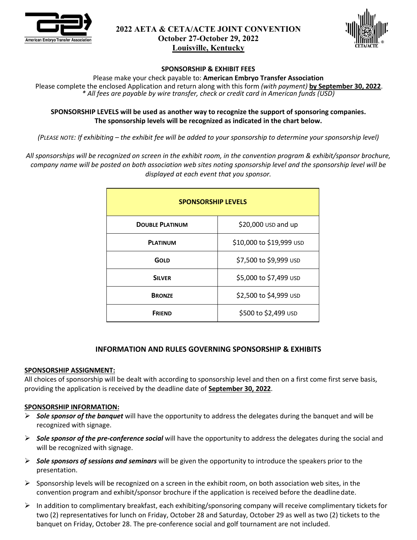



#### **SPONSORSHIP & EXHIBIT FEES**

Please make your check payable to: **American Embryo Transfer Association**

Please complete the enclosed Application and return along with this form *(with payment)* **by September 30, 2022**. *\* All fees are payable by wire transfer, check or credit card in American funds (USD)*

#### **SPONSORSHIP LEVELS will be used as another way to recognize the support of sponsoring companies. The sponsorship levels will be recognized as indicated in the chart below.**

*(PLEASE NOTE: If exhibiting – the exhibit fee will be added to your sponsorship to determine your sponsorship level)*

*All sponsorships will be recognized on screen in the exhibit room, in the convention program & exhibit/sponsor brochure, company name will be posted on both association web sites noting sponsorship level and the sponsorship level will be displayed at each event that you sponsor.*

| <b>SPONSORSHIP LEVELS</b> |                          |  |  |  |  |  |
|---------------------------|--------------------------|--|--|--|--|--|
| <b>DOUBLE PLATINUM</b>    | \$20,000 USD and up      |  |  |  |  |  |
| <b>PLATINUM</b>           | \$10,000 to \$19,999 USD |  |  |  |  |  |
| <b>GOLD</b>               | \$7,500 to \$9,999 USD   |  |  |  |  |  |
| <b>SILVER</b>             | \$5,000 to \$7,499 USD   |  |  |  |  |  |
| <b>BRONZE</b>             | \$2,500 to \$4,999 USD   |  |  |  |  |  |
| <b>FRIEND</b>             | \$500 to \$2,499 USD     |  |  |  |  |  |

# **INFORMATION AND RULES GOVERNING SPONSORSHIP & EXHIBITS**

#### **SPONSORSHIP ASSIGNMENT:**

All choices of sponsorship will be dealt with according to sponsorship level and then on a first come first serve basis, providing the application is received by the deadline date of **September 30, 2022**.

#### **SPONSORSHIP INFORMATION:**

- *Sole sponsor of the banquet* will have the opportunity to address the delegates during the banquet and will be recognized with signage.
- *Sole sponsor of the pre-conference social* will have the opportunity to address the delegates during the social and will be recognized with signage.
- *Sole sponsors of sessions and seminars* will be given the opportunity to introduce the speakers prior to the presentation.
- $\triangleright$  Sponsorship levels will be recognized on a screen in the exhibit room, on both association web sites, in the convention program and exhibit/sponsor brochure if the application is received before the deadlinedate.
- $\triangleright$  In addition to complimentary breakfast, each exhibiting/sponsoring company will receive complimentary tickets for two (2) representatives for lunch on Friday, October 28 and Saturday, October 29 as well as two (2) tickets to the banquet on Friday, October 28. The pre-conference social and golf tournament are not included.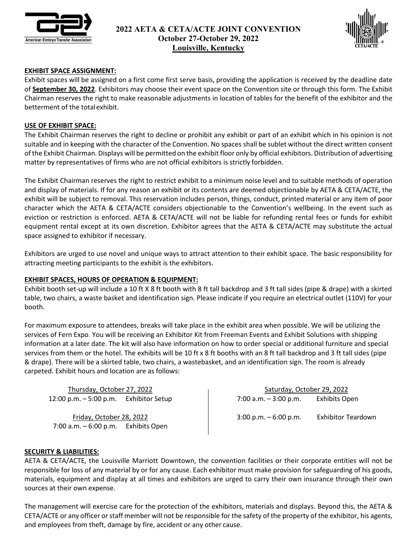



## **EXHIBIT SPACE ASSIGNMENT:**

Exhibit spaces will be assigned on a first come first serve basis, providing the application is received by the deadline date of **September 30, 2022**. Exhibitors may choose their event space on the Convention site or through this form. The Exhibit Chairman reserves the right to make reasonable adjustments in location of tables for the benefit of the exhibitor and the betterment of the totalexhibit.

#### **USE OF EXHIBIT SPACE:**

The Exhibit Chairman reserves the right to decline or prohibit any exhibit or part of an exhibit which in his opinion is not suitable and in keeping with the character of the Convention. No spaces shall be sublet without the direct written consent of the Exhibit Chairman. Displays will be permitted on the exhibit floor only by official exhibitors. Distribution of advertising matter by representatives of firms who are not official exhibitors is strictly forbidden.

The Exhibit Chairman reserves the right to restrict exhibit to a minimum noise level and to suitable methods of operation and display of materials. If for any reason an exhibit or its contents are deemed objectionable by AETA & CETA/ACTE, the exhibit will be subject to removal. This reservation includes person, things, conduct, printed material or any item of poor character which the AETA & CETA/ACTE considers objectionable to the Convention's wellbeing. In the event such as eviction or restriction is enforced. AETA & CETA/ACTE will not be liable for refunding rental fees or funds for exhibit equipment rental except at its own discretion. Exhibitor agrees that the AETA & CETA/ACTE may substitute the actual space assigned to exhibitor if necessary.

Exhibitors are urged to use novel and unique ways to attract attention to their exhibit space. The basic responsibility for attracting meeting participants to the exhibit is the exhibitors.

#### **EXHIBIT SPACES, HOURS OF OPERATION & EQUIPMENT:**

Exhibit booth set-up will include a 10 ft X 8 ft booth with 8 ft tall backdrop and 3 ft tall sides (pipe & drape) with a skirted table, two chairs, a waste basket and identification sign. Please indicate if you require an electrical outlet (110V) for your booth.

For maximum exposure to attendees, breaks will take place in the exhibit area when possible. We will be utilizing the services of Fern Expo. You will be receiving an Exhibitor Kit from Freeman Events and Exhibit Solutions with shipping information at a later date. The kit will also have information on how to order special or additional furniture and special services from them or the hotel. The exhibits will be 10 ft x 8 ft booths with an 8 ft tall backdrop and 3 ft tall sides (pipe & drape). There will be a skirted table, two chairs, a wastebasket, and an identification sign. The room is already carpeted. Exhibit hours and location are as follows:

Thursday, October 27, 2022 12:00 p.m. – 5:00 p.m. Exhibitor Setup

Friday, October 28, 2022 7:00 a.m. – 6:00 p.m. Exhibits Open

Saturday, October 29, 2022 7:00 a.m. – 3:00 p.m. Exhibits Open

3:00 p.m. – 6:00 p.m. Exhibitor Teardown

#### **SECURITY & LIABILITIES:**

AETA & CETA/ACTE, the Louisville Marriott Downtown, the convention facilities or their corporate entities will not be responsible for loss of any material by or for any cause. Each exhibitor must make provision for safeguarding of his goods, materials, equipment and display at all times and exhibitors are urged to carry their own insurance through their own sources at their own expense.

The management will exercise care for the protection of the exhibitors, materials and displays. Beyond this, the AETA & CETA/ACTE or any officer or staff member will not be responsible for the safety of the property of the exhibitor, his agents, and employees from theft, damage by fire, accident or any other cause.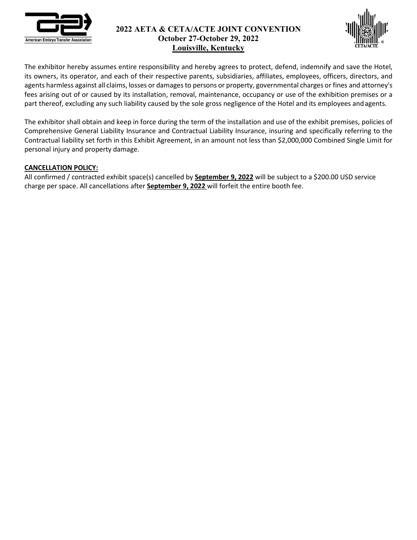



The exhibitor hereby assumes entire responsibility and hereby agrees to protect, defend, indemnify and save the Hotel, its owners, its operator, and each of their respective parents, subsidiaries, affiliates, employees, officers, directors, and agents harmless against all claims, losses or damagesto persons or property, governmental charges or fines and attorney's fees arising out of or caused by its installation, removal, maintenance, occupancy or use of the exhibition premises or a part thereof, excluding any such liability caused by the sole gross negligence of the Hotel and its employees andagents.

The exhibitor shall obtain and keep in force during the term of the installation and use of the exhibit premises, policies of Comprehensive General Liability Insurance and Contractual Liability Insurance, insuring and specifically referring to the Contractual liability set forth in this Exhibit Agreement, in an amount not less than \$2,000,000 Combined Single Limit for personal injury and property damage.

## **CANCELLATION POLICY:**

All confirmed / contracted exhibit space(s) cancelled by **September 9, 2022** will be subject to a \$200.00 USD service charge per space. All cancellations after **September 9, 2022** will forfeit the entire booth fee.